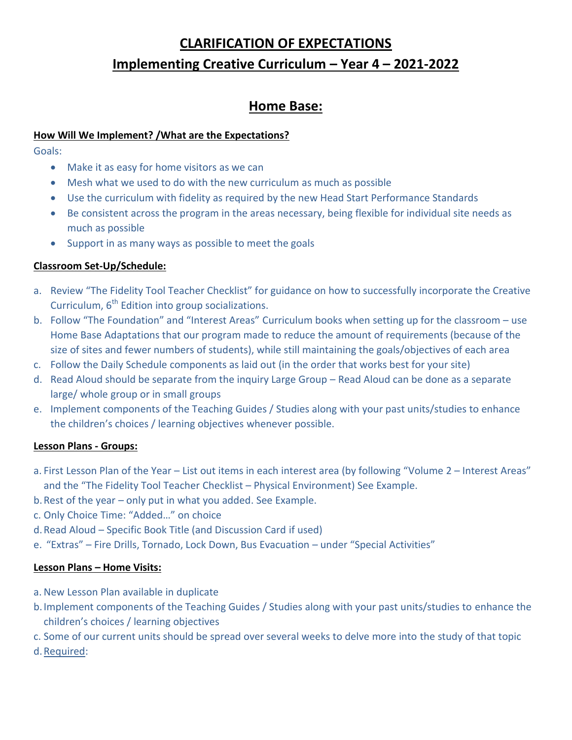# **CLARIFICATION OF EXPECTATIONS Implementing Creative Curriculum – Year 4 – 2021-2022**

# **Home Base:**

#### **How Will We Implement? /What are the Expectations?**

Goals:

- Make it as easy for home visitors as we can
- Mesh what we used to do with the new curriculum as much as possible
- Use the curriculum with fidelity as required by the new Head Start Performance Standards
- Be consistent across the program in the areas necessary, being flexible for individual site needs as much as possible
- Support in as many ways as possible to meet the goals

### **Classroom Set-Up/Schedule:**

- a. Review "The Fidelity Tool Teacher Checklist" for guidance on how to successfully incorporate the Creative Curriculum,  $6<sup>th</sup>$  Edition into group socializations.
- b. Follow "The Foundation" and "Interest Areas" Curriculum books when setting up for the classroom use Home Base Adaptations that our program made to reduce the amount of requirements (because of the size of sites and fewer numbers of students), while still maintaining the goals/objectives of each area
- c. Follow the Daily Schedule components as laid out (in the order that works best for your site)
- d. Read Aloud should be separate from the inquiry Large Group Read Aloud can be done as a separate large/ whole group or in small groups
- e. Implement components of the Teaching Guides / Studies along with your past units/studies to enhance the children's choices / learning objectives whenever possible.

#### **Lesson Plans - Groups:**

- a. First Lesson Plan of the Year List out items in each interest area (by following "Volume 2 Interest Areas" and the "The Fidelity Tool Teacher Checklist – Physical Environment) See Example.
- b.Rest of the year only put in what you added. See Example.
- c. Only Choice Time: "Added…" on choice
- d.Read Aloud Specific Book Title (and Discussion Card if used)
- e. "Extras" Fire Drills, Tornado, Lock Down, Bus Evacuation under "Special Activities"

#### **Lesson Plans – Home Visits:**

- a. New Lesson Plan available in duplicate
- b.Implement components of the Teaching Guides / Studies along with your past units/studies to enhance the children's choices / learning objectives
- c. Some of our current units should be spread over several weeks to delve more into the study of that topic
- d.Required: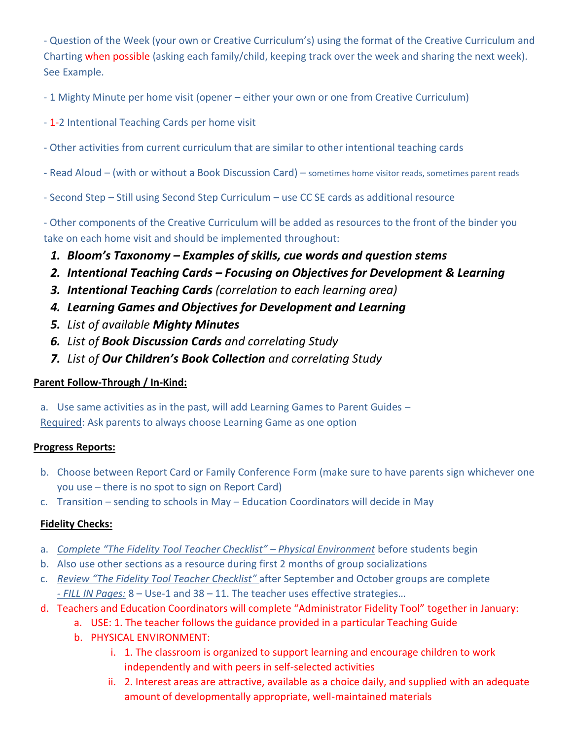- Question of the Week (your own or Creative Curriculum's) using the format of the Creative Curriculum and Charting when possible (asking each family/child, keeping track over the week and sharing the next week). See Example.

- 1 Mighty Minute per home visit (opener – either your own or one from Creative Curriculum)

- 1-2 Intentional Teaching Cards per home visit
- Other activities from current curriculum that are similar to other intentional teaching cards
- Read Aloud (with or without a Book Discussion Card) sometimes home visitor reads, sometimes parent reads
- Second Step Still using Second Step Curriculum use CC SE cards as additional resource

- Other components of the Creative Curriculum will be added as resources to the front of the binder you take on each home visit and should be implemented throughout:

- *1. Bloom's Taxonomy – Examples of skills, cue words and question stems*
- *2. Intentional Teaching Cards – Focusing on Objectives for Development & Learning*
- *3. Intentional Teaching Cards (correlation to each learning area)*
- *4. Learning Games and Objectives for Development and Learning*
- *5. List of available Mighty Minutes*
- *6. List of Book Discussion Cards and correlating Study*
- *7. List of Our Children's Book Collection and correlating Study*

# **Parent Follow-Through / In-Kind:**

a. Use same activities as in the past, will add Learning Games to Parent Guides –

Required: Ask parents to always choose Learning Game as one option

#### **Progress Reports:**

- b. Choose between Report Card or Family Conference Form (make sure to have parents sign whichever one you use – there is no spot to sign on Report Card)
- c. Transition sending to schools in May Education Coordinators will decide in May

# **Fidelity Checks:**

- a. *Complete "The Fidelity Tool Teacher Checklist" – Physical Environment* before students begin
- b. Also use other sections as a resource during first 2 months of group socializations
- c. *Review "The Fidelity Tool Teacher Checklist"* after September and October groups are complete *- FILL IN Pages:* 8 – Use-1 and 38 – 11. The teacher uses effective strategies…
- d. Teachers and Education Coordinators will complete "Administrator Fidelity Tool" together in January:
	- a. USE: 1. The teacher follows the guidance provided in a particular Teaching Guide
	- b. PHYSICAL ENVIRONMENT:
		- i. 1. The classroom is organized to support learning and encourage children to work independently and with peers in self-selected activities
		- ii. 2. Interest areas are attractive, available as a choice daily, and supplied with an adequate amount of developmentally appropriate, well-maintained materials